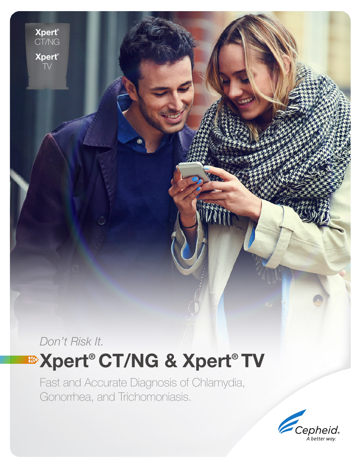*Don't Risk It.* **<sup>■</sup>Xpert® CT/NG & Xpert® TV** 

Xpert ® CT/NG

Xpert ® TV

> Fast and Accurate Diagnosis of Chlamydia, Gonorrhea, and Trichomoniasis.

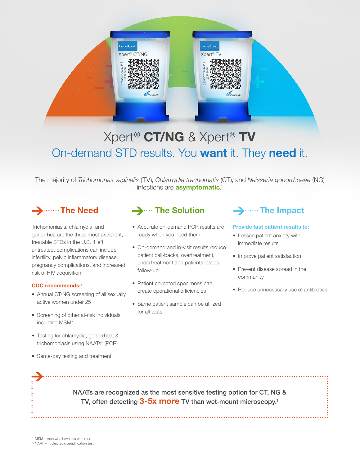

# Xpert® CT/NG & Xpert® TV On-demand STD results. You want it. They need it.

The majority of *Trichomonas vaginalis* (TV), *Chlamydia trachomatis* (CT), and *Neisseria gonorrhoeae* (NG) infections are **asymptomatic**.<sup>1</sup>

# → ……The Need

Trichomoniasis, chlamydia, and gonorrhea are the three most prevalent, treatable STDs in the U.S. If left untreated, complications can include infertility, pelvic inflammatory disease, pregnancy complications, and increased risk of HIV acquisition.1

#### CDC recommends:<sup>1</sup>

- Annual CT/NG screening of all sexually active women under 25
- Screening of other at-risk individuals including MSM\*
- Testing for chlamydia, gonorrhea, & trichomoniasis using NAATs^ (PCR)
- Same-day testing and treatment

## $\rightarrow$  .... The Solution

- Accurate on-demand PCR results are ready when you need them
- On-demand and in-visit results reduce patient call-backs, overtreatment, undertreatment and patients lost to follow-up
- Patient collected specimens can create operational efficiencies
- Same patient sample can be utilized for all tests

## $\rightarrow$  ...... The Impact

#### Provide fast patient results to:

- Lessen patient anxiety with immediate results
- Improve patient satisfaction
- Prevent disease spread in the community
- Reduce unnecessary use of antibiotics

NAATs are recognized as the most sensitive testing option for CT, NG & TV, often detecting 3-5x more TV than wet-mount microscopy.<sup>1</sup>

\* MSM – men who have sex with men

^ NAAT – nucleic acid amplification test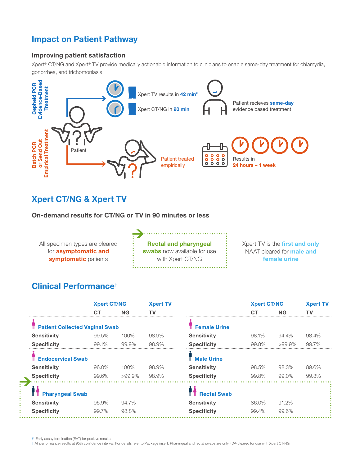## Impact on Patient Pathway

### Improving patient satisfaction

Xpert® CT/NG and Xpert® TV provide medically actionable information to clinicians to enable same-day treatment for chlamydia, gonorrhea, and trichomoniasis



## Xpert CT/NG & Xpert TV

On-demand results for CT/NG or TV in 90 minutes or less

All specimen types are cleared for asymptomatic and symptomatic patients

Rectal and pharyngeal swabs now available for use with Xpert CT/NG 

Xpert TV is the **first and only** NAAT cleared for **male and** female urine

### Clinical Performance†

|                                       | <b>Xpert CT/NG</b> |           | <b>Xpert TV</b> |                     | <b>Xpert CT/NG</b> |           | <b>Xpert TV</b> |
|---------------------------------------|--------------------|-----------|-----------------|---------------------|--------------------|-----------|-----------------|
|                                       | СT                 | NG        |                 |                     | CТ                 | <b>NG</b> |                 |
| <b>Patient Collected Vaginal Swab</b> |                    |           |                 | <b>Female Urine</b> |                    |           |                 |
| <b>Sensitivity</b>                    | 99.5%              | 100%      | 98.9%           | <b>Sensitivity</b>  | 98.1%              | 94.4%     | 98.4%           |
| <b>Specificity</b>                    | 99.1%              | $99.9\%$  | 98.9%           | <b>Specificity</b>  | 99.8%              | $>99.9\%$ | 99.7%           |
| <b>Endocervical Swab</b>              |                    |           |                 | <b>Male Urine</b>   |                    |           |                 |
| <b>Sensitivity</b>                    | 96.0%              | 100%      | 98.9%           | <b>Sensitivity</b>  | 98.5%              | 98.3%     | 89.6%           |
| <b>Specificity</b>                    | 99.6%              | $>99.9\%$ | 98.9%           | <b>Specificity</b>  | 99.8%              | 99.0%     | 99.3%           |
| <b>Pharyngeal Swab</b>                |                    |           |                 | <b>Rectal Swab</b>  |                    |           |                 |
| <b>Sensitivity</b>                    | 95.9%              | 94.7%     |                 | <b>Sensitivity</b>  | 86.0%              | 91.2%     |                 |
| <b>Specificity</b>                    | 99.7%              | 98.8%     |                 | <b>Specificity</b>  | 99.4%              | 99.6%     |                 |
|                                       |                    |           |                 |                     |                    |           |                 |

# Early assay termination (EAT) for positive results.

**College** 

Ě.

† All performance results at 95% confidence interval. For details refer to Package insert. Pharyngeal and rectal swabs are only FDA-cleared for use with Xpert CT/NG.